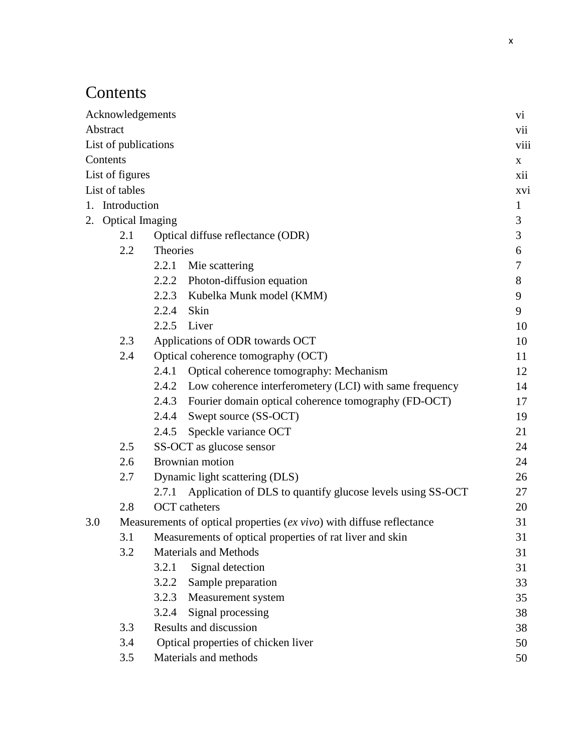## **Contents**

| Acknowledgements     |                    |                                     |                                                                       |        |  |
|----------------------|--------------------|-------------------------------------|-----------------------------------------------------------------------|--------|--|
| Abstract             |                    |                                     |                                                                       |        |  |
| List of publications |                    |                                     |                                                                       |        |  |
| Contents             |                    |                                     |                                                                       |        |  |
| List of figures      |                    |                                     |                                                                       |        |  |
| List of tables       |                    |                                     |                                                                       |        |  |
|                      | 1. Introduction    |                                     |                                                                       |        |  |
|                      | 2. Optical Imaging |                                     |                                                                       |        |  |
|                      | 2.1                | Optical diffuse reflectance (ODR)   |                                                                       | 3      |  |
|                      | 2.2                | Theories                            |                                                                       | 6      |  |
|                      |                    | 2.2.1                               | Mie scattering                                                        | $\tau$ |  |
|                      |                    | 2.2.2                               | Photon-diffusion equation                                             | $8\,$  |  |
|                      |                    | 2.2.3                               | Kubelka Munk model (KMM)                                              | 9      |  |
|                      |                    | 2.2.4                               | Skin                                                                  | 9      |  |
|                      |                    | 2.2.5                               | Liver                                                                 | 10     |  |
|                      | 2.3                |                                     | Applications of ODR towards OCT                                       |        |  |
|                      | 2.4                |                                     | Optical coherence tomography (OCT)                                    |        |  |
|                      |                    | 2.4.1                               | Optical coherence tomography: Mechanism                               | 12     |  |
|                      |                    |                                     | 2.4.2 Low coherence interferometery (LCI) with same frequency         | 14     |  |
|                      |                    |                                     | 2.4.3 Fourier domain optical coherence tomography (FD-OCT)            | 17     |  |
|                      |                    | 2.4.4                               | Swept source (SS-OCT)                                                 | 19     |  |
|                      |                    | 2.4.5                               | Speckle variance OCT                                                  | 21     |  |
|                      | 2.5                |                                     | SS-OCT as glucose sensor                                              |        |  |
|                      | 2.6                |                                     | Brownian motion                                                       |        |  |
|                      | 2.7                |                                     | Dynamic light scattering (DLS)                                        |        |  |
|                      |                    | 2.7.1                               | Application of DLS to quantify glucose levels using SS-OCT            | 27     |  |
|                      | 2.8                |                                     | <b>OCT</b> catheters                                                  | 20     |  |
| 3.0                  |                    |                                     | Measurements of optical properties (ex vivo) with diffuse reflectance | 31     |  |
|                      | 3.1                |                                     | Measurements of optical properties of rat liver and skin              | 31     |  |
|                      | 3.2                |                                     | <b>Materials and Methods</b>                                          | 31     |  |
|                      |                    | 3.2.1                               | Signal detection                                                      | 31     |  |
|                      |                    | 3.2.2                               | Sample preparation                                                    | 33     |  |
|                      |                    | 3.2.3                               | Measurement system                                                    | 35     |  |
|                      |                    | 3.2.4                               | Signal processing                                                     | 38     |  |
|                      | 3.3                |                                     | Results and discussion                                                | 38     |  |
|                      | 3.4                | Optical properties of chicken liver |                                                                       | 50     |  |
|                      | 3.5                |                                     | Materials and methods                                                 | 50     |  |